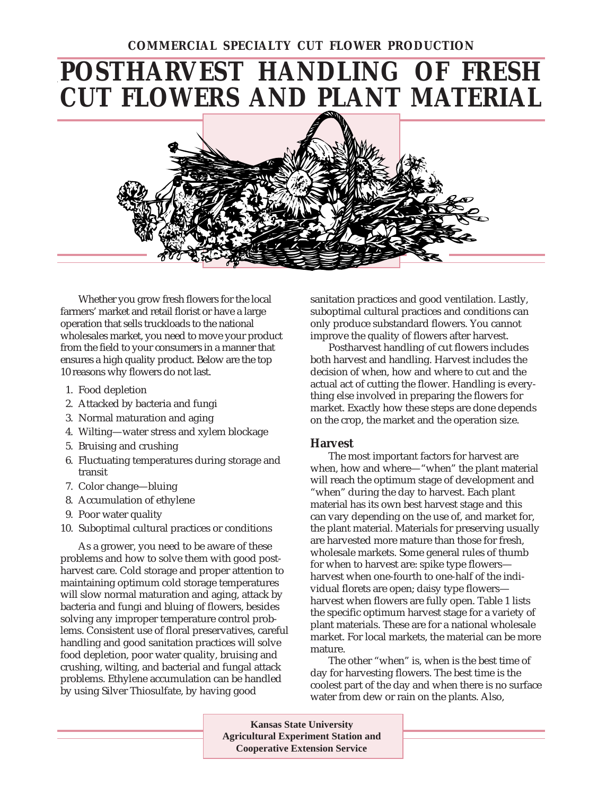### **COMMERCIAL SPECIALTY CUT FLOWER PRODUCTION**

# **POSTHARVEST HANDLING OF FRESH CUT FLOWERS AND PLANT MATERIAL**



Whether you grow fresh flowers for the local farmers' market and retail florist or have a large operation that sells truckloads to the national wholesales market, you need to move your product from the field to your consumers in a manner that ensures a high quality product. Below are the top 10 reasons why flowers do not last.

- 1. Food depletion
- 2. Attacked by bacteria and fungi
- 3. Normal maturation and aging
- 4. Wilting—water stress and xylem blockage
- 5. Bruising and crushing
- 6. Fluctuating temperatures during storage and transit
- 7. Color change—bluing
- 8. Accumulation of ethylene
- 9. Poor water quality
- 10. Suboptimal cultural practices or conditions

As a grower, you need to be aware of these problems and how to solve them with good postharvest care. Cold storage and proper attention to maintaining optimum cold storage temperatures will slow normal maturation and aging, attack by bacteria and fungi and bluing of flowers, besides solving any improper temperature control problems. Consistent use of floral preservatives, careful handling and good sanitation practices will solve food depletion, poor water quality, bruising and crushing, wilting, and bacterial and fungal attack problems. Ethylene accumulation can be handled by using Silver Thiosulfate, by having good

sanitation practices and good ventilation. Lastly, suboptimal cultural practices and conditions can only produce substandard flowers. You cannot improve the quality of flowers after harvest.

Postharvest handling of cut flowers includes both harvest and handling. Harvest includes the decision of when, how and where to cut and the actual act of cutting the flower. Handling is everything else involved in preparing the flowers for market. Exactly how these steps are done depends on the crop, the market and the operation size.

#### **Harvest**

The most important factors for harvest are when, how and where—"when" the plant material will reach the optimum stage of development and "when" during the day to harvest. Each plant material has its own best harvest stage and this can vary depending on the use of, and market for, the plant material. Materials for preserving usually are harvested more mature than those for fresh, wholesale markets. Some general rules of thumb for when to harvest are: spike type flowers harvest when one-fourth to one-half of the individual florets are open; daisy type flowers harvest when flowers are fully open. Table 1 lists the specific optimum harvest stage for a variety of plant materials. These are for a national wholesale market. For local markets, the material can be more mature.

The other "when" is, when is the best time of day for harvesting flowers. The best time is the coolest part of the day and when there is no surface water from dew or rain on the plants. Also,

**Kansas State University Agricultural Experiment Station and Cooperative Extension Service**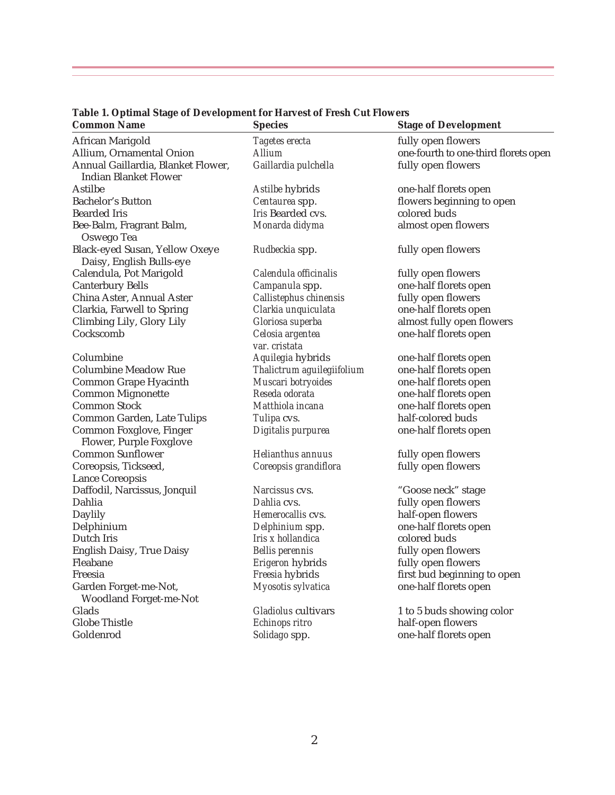| <b>Common Name</b>                                                 | <b>Species</b>                    | <b>Stage of Development</b>          |
|--------------------------------------------------------------------|-----------------------------------|--------------------------------------|
| African Marigold                                                   | Tagetes erecta                    | fully open flowers                   |
| Allium, Ornamental Onion                                           | Allium                            | one-fourth to one-third florets open |
| Annual Gaillardia, Blanket Flower,<br><b>Indian Blanket Flower</b> | Gaillardia pulchella              | fully open flowers                   |
| Astilbe                                                            | Astilbe hybrids                   | one-half florets open                |
| <b>Bachelor's Button</b>                                           | Centaurea spp.                    | flowers beginning to open            |
| <b>Bearded Iris</b>                                                | Iris Bearded cvs.                 | colored buds                         |
| Bee-Balm, Fragrant Balm,<br>Oswego Tea                             | Monarda didyma                    | almost open flowers                  |
| Black-eyed Susan, Yellow Oxeye<br>Daisy, English Bulls-eye         | Rudbeckia spp.                    | fully open flowers                   |
| Calendula, Pot Marigold                                            | Calendula officinalis             | fully open flowers                   |
| <b>Canterbury Bells</b>                                            | Campanula spp.                    | one-half florets open                |
| China Aster, Annual Aster                                          | Callistephus chinensis            | fully open flowers                   |
| Clarkia, Farwell to Spring                                         | Clarkia unquiculata               | one-half florets open                |
| Climbing Lily, Glory Lily                                          | Gloriosa superba                  | almost fully open flowers            |
| Cockscomb                                                          | Celosia argentea<br>var. cristata | one-half florets open                |
| Columbine                                                          | Aquilegia hybrids                 | one-half florets open                |
| <b>Columbine Meadow Rue</b>                                        | Thalictrum aguilegiifolium        | one-half florets open                |
| Common Grape Hyacinth                                              | Muscari botryoides                | one-half florets open                |
| <b>Common Mignonette</b>                                           | Reseda odorata                    | one-half florets open                |
| <b>Common Stock</b>                                                | Matthiola incana                  | one-half florets open                |
| Common Garden, Late Tulips                                         | Tulipa cvs.                       | half-colored buds                    |
| Common Foxglove, Finger<br>Flower, Purple Foxglove                 | Digitalis purpurea                | one-half florets open                |
| <b>Common Sunflower</b>                                            | Helianthus annuus                 | fully open flowers                   |
| Coreopsis, Tickseed,                                               | Coreopsis grandiflora             | fully open flowers                   |
| <b>Lance Coreopsis</b>                                             |                                   |                                      |
| Daffodil, Narcissus, Jonquil                                       | Narcissus cys.                    | "Goose neck" stage                   |
| Dahlia                                                             | Dahlia cys.                       | fully open flowers                   |
| Daylily                                                            | Hemerocallis cvs.                 | half-open flowers                    |
| Delphinium                                                         | Delphinium spp.                   | one-half florets open                |
| Dutch Iris                                                         | Iris x hollandica                 | colored buds                         |
| English Daisy, True Daisy                                          | <b>Bellis</b> perennis            | fully open flowers                   |
| Fleabane                                                           | Erigeron hybrids                  | fully open flowers                   |
| Freesia                                                            | Freesia hybrids                   | first bud beginning to open          |
| Garden Forget-me-Not,<br><b>Woodland Forget-me-Not</b>             | Myosotis sylvatica                | one-half florets open                |
| Glads                                                              | Gladiolus cultivars               | 1 to 5 buds showing color            |
| <b>Globe Thistle</b>                                               | Echinops ritro                    | half-open flowers                    |
| Goldenrod                                                          | Solidago spp.                     | one-half florets open                |

## **Table 1. Optimal Stage of Development for Harvest of Fresh Cut Flowers**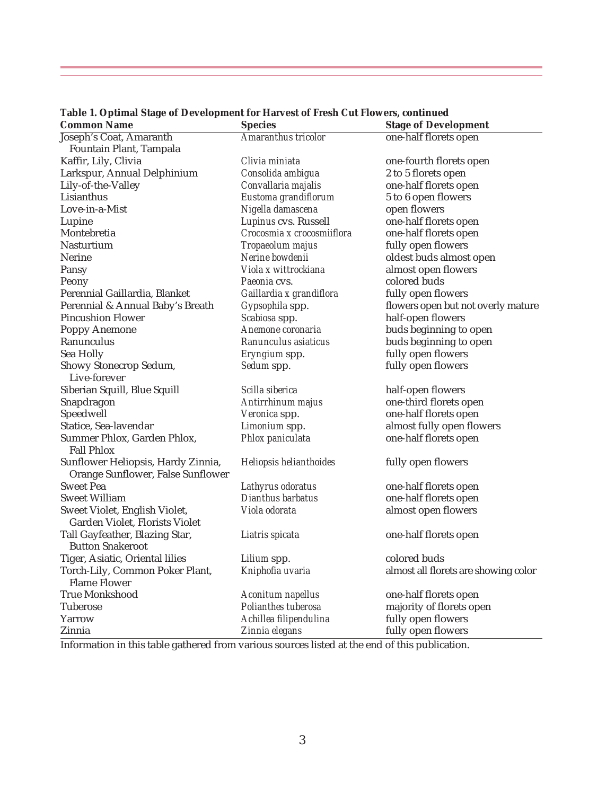| <b>Common Name</b>                 | <b>Species</b>             | <b>Stage of Development</b>          |
|------------------------------------|----------------------------|--------------------------------------|
| Joseph's Coat, Amaranth            | Amaranthus tricolor        | one-half florets open                |
| Fountain Plant, Tampala            |                            |                                      |
| Kaffir, Lily, Clivia               | Clivia miniata             | one-fourth florets open              |
| Larkspur, Annual Delphinium        | Consolida ambigua          | 2 to 5 florets open                  |
| Lily-of-the-Valley                 | Convallaria majalis        | one-half florets open                |
| Lisianthus                         | Eustoma grandiflorum       | 5 to 6 open flowers                  |
| Love-in-a-Mist                     | Nigella damascena          | open flowers                         |
| Lupine                             | Lupinus cvs. Russell       | one-half florets open                |
| Montebretia                        | Crocosmia x crocosmiiflora | one-half florets open                |
| <b>Nasturtium</b>                  | Tropaeolum majus           | fully open flowers                   |
| <b>Nerine</b>                      | Nerine bowdenii            | oldest buds almost open              |
| Pansy                              | Viola x wittrockiana       | almost open flowers                  |
| Peony                              | Paeonia cys.               | colored buds                         |
| Perennial Gaillardia, Blanket      | Gaillardia x grandiflora   | fully open flowers                   |
| Perennial & Annual Baby's Breath   | Gypsophila spp.            | flowers open but not overly mature   |
| <b>Pincushion Flower</b>           | Scabiosa spp.              | half-open flowers                    |
| <b>Poppy Anemone</b>               | Anemone coronaria          | buds beginning to open               |
| Ranunculus                         | Ranunculus asiaticus       | buds beginning to open               |
| Sea Holly                          | Eryngium spp.              | fully open flowers                   |
| Showy Stonecrop Sedum,             | Sedum spp.                 | fully open flowers                   |
| Live-forever                       |                            |                                      |
| Siberian Squill, Blue Squill       | Scilla siberica            | half-open flowers                    |
| Snapdragon                         | Antirrhinum majus          | one-third florets open               |
| Speedwell                          | Veronica spp.              | one-half florets open                |
| Statice, Sea-lavendar              | Limonium spp.              | almost fully open flowers            |
| Summer Phlox, Garden Phlox,        | Phlox paniculata           | one-half florets open                |
| <b>Fall Phlox</b>                  |                            |                                      |
| Sunflower Heliopsis, Hardy Zinnia, | Heliopsis helianthoides    | fully open flowers                   |
| Orange Sunflower, False Sunflower  |                            |                                      |
| <b>Sweet Pea</b>                   | Lathyrus odoratus          | one-half florets open                |
| <b>Sweet William</b>               | Dianthus barbatus          | one-half florets open                |
| Sweet Violet, English Violet,      | Viola odorata              | almost open flowers                  |
| Garden Violet, Florists Violet     |                            |                                      |
| Tall Gayfeather, Blazing Star,     | Liatris spicata            | one-half florets open                |
| <b>Button Snakeroot</b>            |                            |                                      |
| Tiger, Asiatic, Oriental lilies    | Lilium spp.                | colored buds                         |
| Torch-Lily, Common Poker Plant,    | Kniphofia uvaria           | almost all florets are showing color |
| <b>Flame Flower</b>                |                            |                                      |
| <b>True Monkshood</b>              | Aconitum napellus          | one-half florets open                |
| Tuberose                           | Polianthes tuberosa        | majority of florets open             |
| Yarrow                             | Achillea filipendulina     | fully open flowers                   |
| Zinnia                             | Zinnia elegans             | fully open flowers                   |
|                                    |                            |                                      |

**Table 1. Optimal Stage of Development for Harvest of Fresh Cut Flowers, continued**

Information in this table gathered from various sources listed at the end of this publication.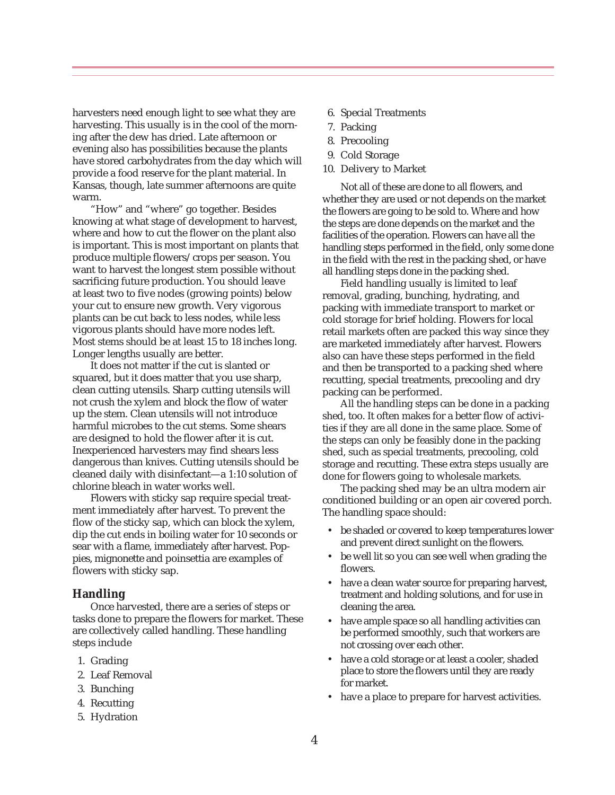harvesters need enough light to see what they are harvesting. This usually is in the cool of the morning after the dew has dried. Late afternoon or evening also has possibilities because the plants have stored carbohydrates from the day which will provide a food reserve for the plant material. In Kansas, though, late summer afternoons are quite warm.

"How" and "where" go together. Besides knowing at what stage of development to harvest, where and how to cut the flower on the plant also is important. This is most important on plants that produce multiple flowers/crops per season. You want to harvest the longest stem possible without sacrificing future production. You should leave at least two to five nodes (growing points) below your cut to ensure new growth. Very vigorous plants can be cut back to less nodes, while less vigorous plants should have more nodes left. Most stems should be at least 15 to 18 inches long. Longer lengths usually are better.

It does not matter if the cut is slanted or squared, but it does matter that you use sharp, clean cutting utensils. Sharp cutting utensils will not crush the xylem and block the flow of water up the stem. Clean utensils will not introduce harmful microbes to the cut stems. Some shears are designed to hold the flower after it is cut. Inexperienced harvesters may find shears less dangerous than knives. Cutting utensils should be cleaned daily with disinfectant—a 1:10 solution of chlorine bleach in water works well.

Flowers with sticky sap require special treatment immediately after harvest. To prevent the flow of the sticky sap, which can block the xylem, dip the cut ends in boiling water for 10 seconds or sear with a flame, immediately after harvest. Poppies, mignonette and poinsettia are examples of flowers with sticky sap.

#### **Handling**

Once harvested, there are a series of steps or tasks done to prepare the flowers for market. These are collectively called handling. These handling steps include

- 1. Grading
- 2. Leaf Removal
- 3. Bunching
- 4. Recutting
- 5. Hydration
- 6. Special Treatments
- 7. Packing
- 8. Precooling
- 9. Cold Storage
- 10. Delivery to Market

Not all of these are done to all flowers, and whether they are used or not depends on the market the flowers are going to be sold to. Where and how the steps are done depends on the market and the facilities of the operation. Flowers can have all the handling steps performed in the field, only some done in the field with the rest in the packing shed, or have all handling steps done in the packing shed.

Field handling usually is limited to leaf removal, grading, bunching, hydrating, and packing with immediate transport to market or cold storage for brief holding. Flowers for local retail markets often are packed this way since they are marketed immediately after harvest. Flowers also can have these steps performed in the field and then be transported to a packing shed where recutting, special treatments, precooling and dry packing can be performed.

All the handling steps can be done in a packing shed, too. It often makes for a better flow of activities if they are all done in the same place. Some of the steps can only be feasibly done in the packing shed, such as special treatments, precooling, cold storage and recutting. These extra steps usually are done for flowers going to wholesale markets.

The packing shed may be an ultra modern air conditioned building or an open air covered porch. The handling space should:

- be shaded or covered to keep temperatures lower and prevent direct sunlight on the flowers.
- be well lit so you can see well when grading the flowers.
- have a clean water source for preparing harvest, treatment and holding solutions, and for use in cleaning the area.
- have ample space so all handling activities can be performed smoothly, such that workers are not crossing over each other.
- have a cold storage or at least a cooler, shaded place to store the flowers until they are ready for market.
- have a place to prepare for harvest activities.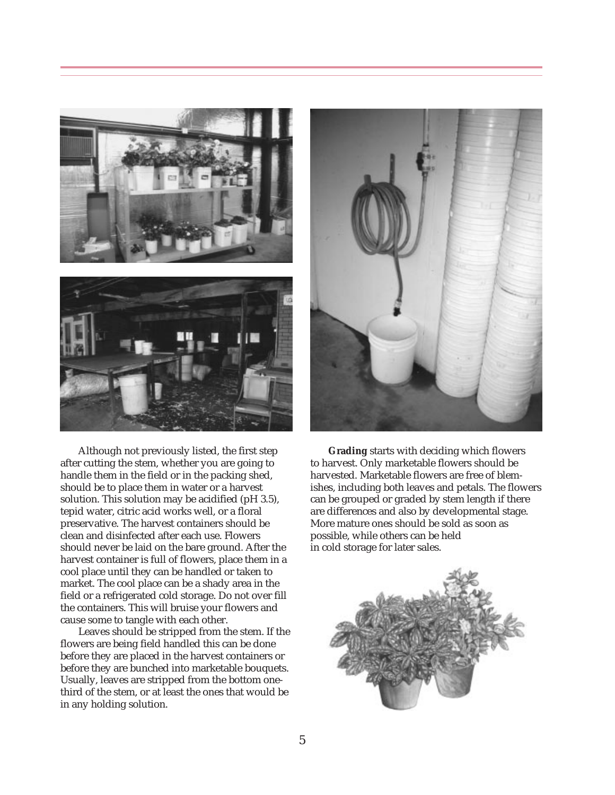



Although not previously listed, the first step after cutting the stem, whether you are going to handle them in the field or in the packing shed, should be to place them in water or a harvest solution. This solution may be acidified (pH 3.5), tepid water, citric acid works well, or a floral preservative. The harvest containers should be clean and disinfected after each use. Flowers should never be laid on the bare ground. After the harvest container is full of flowers, place them in a cool place until they can be handled or taken to market. The cool place can be a shady area in the field or a refrigerated cold storage. Do not over fill the containers. This will bruise your flowers and cause some to tangle with each other.

Leaves should be stripped from the stem. If the flowers are being field handled this can be done before they are placed in the harvest containers or before they are bunched into marketable bouquets. Usually, leaves are stripped from the bottom onethird of the stem, or at least the ones that would be in any holding solution.



**Grading** starts with deciding which flowers to harvest. Only marketable flowers should be harvested. Marketable flowers are free of blemishes, including both leaves and petals. The flowers can be grouped or graded by stem length if there are differences and also by developmental stage. More mature ones should be sold as soon as possible, while others can be held in cold storage for later sales.

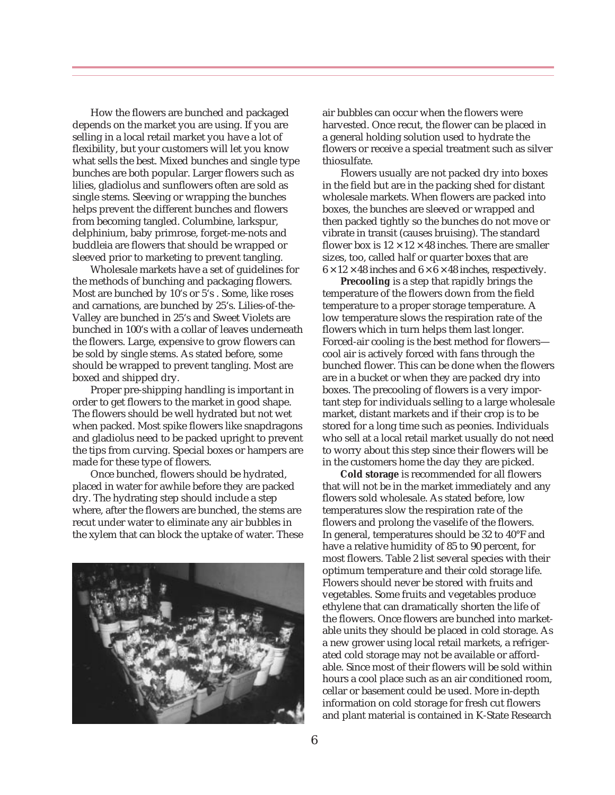How the flowers are bunched and packaged depends on the market you are using. If you are selling in a local retail market you have a lot of flexibility, but your customers will let you know what sells the best. Mixed bunches and single type bunches are both popular. Larger flowers such as lilies, gladiolus and sunflowers often are sold as single stems. Sleeving or wrapping the bunches helps prevent the different bunches and flowers from becoming tangled. Columbine, larkspur, delphinium, baby primrose, forget-me-nots and buddleia are flowers that should be wrapped or sleeved prior to marketing to prevent tangling.

Wholesale markets have a set of guidelines for the methods of bunching and packaging flowers. Most are bunched by 10's or 5's . Some, like roses and carnations, are bunched by 25's. Lilies-of-the-Valley are bunched in 25's and Sweet Violets are bunched in 100's with a collar of leaves underneath the flowers. Large, expensive to grow flowers can be sold by single stems. As stated before, some should be wrapped to prevent tangling. Most are boxed and shipped dry.

Proper pre-shipping handling is important in order to get flowers to the market in good shape. The flowers should be well hydrated but not wet when packed. Most spike flowers like snapdragons and gladiolus need to be packed upright to prevent the tips from curving. Special boxes or hampers are made for these type of flowers.

Once bunched, flowers should be hydrated, placed in water for awhile before they are packed dry. The hydrating step should include a step where, after the flowers are bunched, the stems are recut under water to eliminate any air bubbles in the xylem that can block the uptake of water. These



air bubbles can occur when the flowers were harvested. Once recut, the flower can be placed in a general holding solution used to hydrate the flowers or receive a special treatment such as silver thiosulfate.

Flowers usually are not packed dry into boxes in the field but are in the packing shed for distant wholesale markets. When flowers are packed into boxes, the bunches are sleeved or wrapped and then packed tightly so the bunches do not move or vibrate in transit (causes bruising). The standard flower box is  $12 \times 12 \times 48$  inches. There are smaller sizes, too, called half or quarter boxes that are  $6 \times 12 \times 48$  inches and  $6 \times 6 \times 48$  inches, respectively.

**Precooling** is a step that rapidly brings the temperature of the flowers down from the field temperature to a proper storage temperature. A low temperature slows the respiration rate of the flowers which in turn helps them last longer. Forced-air cooling is the best method for flowers cool air is actively forced with fans through the bunched flower. This can be done when the flowers are in a bucket or when they are packed dry into boxes. The precooling of flowers is a very important step for individuals selling to a large wholesale market, distant markets and if their crop is to be stored for a long time such as peonies. Individuals who sell at a local retail market usually do not need to worry about this step since their flowers will be in the customers home the day they are picked.

**Cold storage** is recommended for all flowers that will not be in the market immediately and any flowers sold wholesale. As stated before, low temperatures slow the respiration rate of the flowers and prolong the vaselife of the flowers. In general, temperatures should be 32 to 40°F and have a relative humidity of 85 to 90 percent, for most flowers. Table 2 list several species with their optimum temperature and their cold storage life. Flowers should never be stored with fruits and vegetables. Some fruits and vegetables produce ethylene that can dramatically shorten the life of the flowers. Once flowers are bunched into marketable units they should be placed in cold storage. As a new grower using local retail markets, a refrigerated cold storage may not be available or affordable. Since most of their flowers will be sold within hours a cool place such as an air conditioned room, cellar or basement could be used. More in-depth information on cold storage for fresh cut flowers and plant material is contained in K-State Research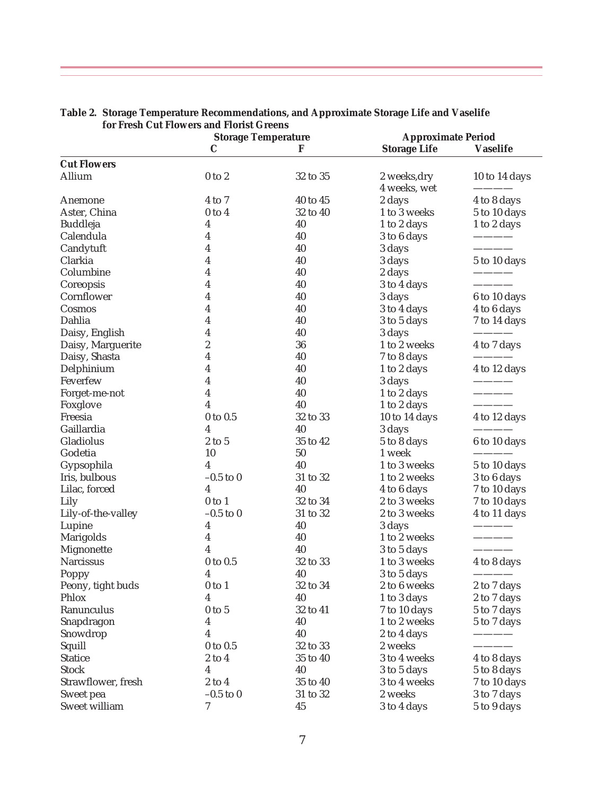|                    | <b>Storage Temperature</b> |          | <b>Approximate Period</b>    |                 |
|--------------------|----------------------------|----------|------------------------------|-----------------|
|                    | C                          | F        | <b>Storage Life</b>          | <b>Vaselife</b> |
| <b>Cut Flowers</b> |                            |          |                              |                 |
| Allium             | $0$ to $2$                 | 32 to 35 | 2 weeks, dry<br>4 weeks, wet | 10 to 14 days   |
| Anemone            | $4$ to $7$                 | 40 to 45 | 2 days                       | 4 to 8 days     |
| Aster, China       | $0$ to $4$                 | 32 to 40 | 1 to 3 weeks                 | 5 to 10 days    |
| Buddleja           | 4                          | 40       | 1 to 2 days                  | 1 to 2 days     |
| Calendula          | 4                          | 40       | 3 to 6 days                  |                 |
| Candytuft          | 4                          | 40       | 3 days                       |                 |
| Clarkia            | 4                          | 40       | 3 days                       | 5 to 10 days    |
| Columbine          | 4                          | 40       | 2 days                       |                 |
| Coreopsis          | 4                          | 40       | 3 to 4 days                  |                 |
| Cornflower         | 4                          | 40       | 3 days                       | 6 to 10 days    |
| Cosmos             | 4                          | 40       | 3 to 4 days                  | 4 to 6 days     |
| Dahlia             | 4                          | 40       | 3 to 5 days                  | 7 to 14 days    |
| Daisy, English     | 4                          | 40       | 3 days                       |                 |
| Daisy, Marguerite  | $\overline{c}$             | 36       | 1 to 2 weeks                 | 4 to 7 days     |
| Daisy, Shasta      | 4                          | 40       | 7 to 8 days                  |                 |
| Delphinium         | 4                          | 40       | 1 to 2 days                  | 4 to 12 days    |
| Feverfew           | 4                          | 40       | 3 days                       |                 |
| Forget-me-not      | 4                          | 40       | 1 to 2 days                  |                 |
| Foxglove           | 4                          | 40       | 1 to 2 days                  |                 |
| Freesia            | $0$ to $0.5$               | 32 to 33 | 10 to 14 days                | 4 to 12 days    |
| Gaillardia         | 4                          | 40       | 3 days                       |                 |
| Gladiolus          | $2$ to $5$                 | 35 to 42 | 5 to 8 days                  | 6 to 10 days    |
| Godetia            | 10                         | 50       | 1 week                       |                 |
| Gypsophila         | $\overline{\mathbf{4}}$    | 40       | 1 to 3 weeks                 | 5 to 10 days    |
| Iris, bulbous      | $-0.5$ to 0                | 31 to 32 | 1 to 2 weeks                 | 3 to 6 days     |
| Lilac, forced      | $\overline{\mathbf{4}}$    | 40       | 4 to 6 days                  | 7 to 10 days    |
| Lily               | $0$ to $1$                 | 32 to 34 | 2 to 3 weeks                 | 7 to 10 days    |
| Lily-of-the-valley | $-0.5$ to $0$              | 31 to 32 | 2 to 3 weeks                 | 4 to 11 days    |
| Lupine             | 4                          | 40       | 3 days                       |                 |
| Marigolds          | 4                          | 40       | 1 to 2 weeks                 |                 |
| Mignonette         | 4                          | 40       | 3 to 5 days                  |                 |
| Narcissus          | 0 to 0.5                   | 32 to 33 | 1 to 3 weeks                 | 4 to 8 days     |
| Poppy              | 4                          | 40       | 3 to 5 days                  |                 |
| Peony, tight buds  | $0$ to $1$                 | 32 to 34 | 2 to 6 weeks                 | 2 to 7 days     |
| Phlox              | 4                          | 40       | 1 to 3 days                  | 2 to 7 days     |
| Ranunculus         | $0$ to $5$                 | 32 to 41 | 7 to 10 days                 | 5 to 7 days     |
| Snapdragon         | 4                          | 40       | 1 to 2 weeks                 | 5 to 7 days     |
| Snowdrop           | 4                          | 40       | 2 to 4 days                  |                 |
| Squill             | $0$ to $0.5$               | 32 to 33 | 2 weeks                      |                 |
| <b>Statice</b>     | $2$ to $4$                 | 35 to 40 | 3 to 4 weeks                 | 4 to 8 days     |
| <b>Stock</b>       | 4                          | 40       | 3 to 5 days                  | 5 to 8 days     |
| Strawflower, fresh | $2$ to $4\,$               | 35 to 40 | 3 to 4 weeks                 | 7 to 10 days    |
| Sweet pea          | $-0.5$ to $0$              | 31 to 32 | 2 weeks                      | 3 to 7 days     |
| Sweet william      | 7                          | 45       | 3 to 4 days                  | 5 to 9 days     |

#### **Table 2. Storage Temperature Recommendations, and Approximate Storage Life and Vaselife for Fresh Cut Flowers and Florist Greens**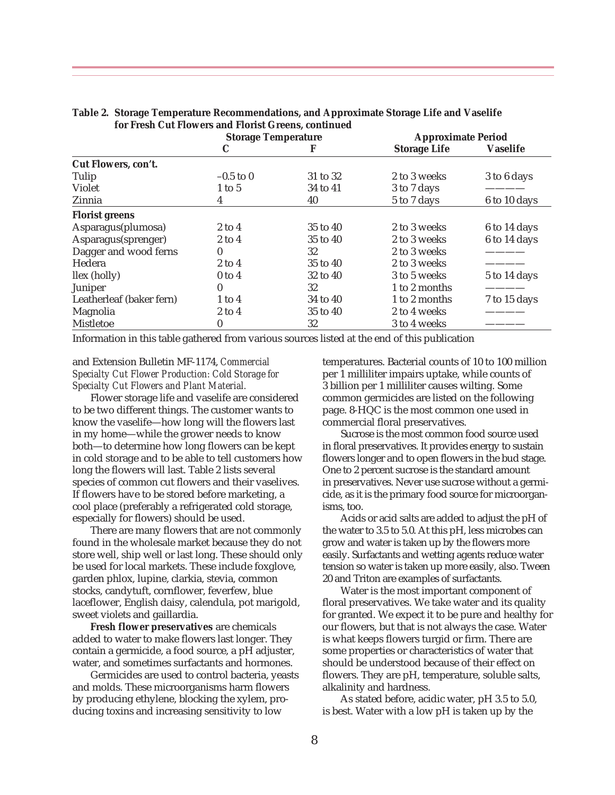|                          | <b>Storage Temperature</b> |              | <b>Approximate Period</b> |                 |
|--------------------------|----------------------------|--------------|---------------------------|-----------------|
|                          | C                          |              | <b>Storage Life</b>       | <b>Vaselife</b> |
| Cut Flowers, con't.      |                            |              |                           |                 |
| Tulip                    | $-0.5$ to 0                | 31 to 32     | 2 to 3 weeks              | 3 to 6 days     |
| Violet                   | $1$ to $5$                 | 34 to 41     | 3 to 7 days               |                 |
| Zinnia                   | 4                          | 40           | 5 to 7 days               | 6 to 10 days    |
| <b>Florist greens</b>    |                            |              |                           |                 |
| Asparagus(plumosa)       | $2$ to $4$                 | $35$ to $40$ | 2 to 3 weeks              | 6 to 14 days    |
| Asparagus(sprenger)      | $2$ to $4$                 | $35$ to $40$ | 2 to 3 weeks              | 6 to 14 days    |
| Dagger and wood ferns    | 0                          | 32           | 2 to 3 weeks              |                 |
| Hedera                   | $2$ to $4$                 | 35 to 40     | 2 to 3 weeks              |                 |
| llex (holly)             | $0$ to $4$                 | 32 to 40     | 3 to 5 weeks              | 5 to 14 days    |
| Juniper                  | 0                          | 32           | 1 to 2 months             |                 |
| Leatherleaf (baker fern) | $1$ to $4$                 | 34 to 40     | 1 to 2 months             | 7 to 15 days    |
| Magnolia                 | $2$ to $4$                 | 35 to 40     | 2 to 4 weeks              |                 |
| Mistletoe                | 0                          | 32           | 3 to 4 weeks              |                 |

**Table 2. Storage Temperature Recommendations, and Approximate Storage Life and Vaselife for Fresh Cut Flowers and Florist Greens, continued**

Information in this table gathered from various sources listed at the end of this publication

#### and Extension Bulletin MF-1174, *Commercial Specialty Cut Flower Production: Cold Storage for Specialty Cut Flowers and Plant Material.*

Flower storage life and vaselife are considered to be two different things. The customer wants to know the vaselife—how long will the flowers last in my home—while the grower needs to know both—to determine how long flowers can be kept in cold storage and to be able to tell customers how long the flowers will last. Table 2 lists several species of common cut flowers and their vaselives. If flowers have to be stored before marketing, a cool place (preferably a refrigerated cold storage, especially for flowers) should be used.

There are many flowers that are not commonly found in the wholesale market because they do not store well, ship well or last long. These should only be used for local markets. These include foxglove, garden phlox, lupine, clarkia, stevia, common stocks, candytuft, cornflower, feverfew, blue laceflower, English daisy, calendula, pot marigold, sweet violets and gaillardia.

**Fresh flower preservatives** are chemicals added to water to make flowers last longer. They contain a germicide, a food source, a pH adjuster, water, and sometimes surfactants and hormones.

Germicides are used to control bacteria, yeasts and molds. These microorganisms harm flowers by producing ethylene, blocking the xylem, producing toxins and increasing sensitivity to low

temperatures. Bacterial counts of 10 to 100 million per 1 milliliter impairs uptake, while counts of 3 billion per 1 milliliter causes wilting. Some common germicides are listed on the following page. 8-HQC is the most common one used in commercial floral preservatives.

Sucrose is the most common food source used in floral preservatives. It provides energy to sustain flowers longer and to open flowers in the bud stage. One to 2 percent sucrose is the standard amount in preservatives. Never use sucrose without a germicide, as it is the primary food source for microorganisms, too.

Acids or acid salts are added to adjust the pH of the water to 3.5 to 5.0. At this pH, less microbes can grow and water is taken up by the flowers more easily. Surfactants and wetting agents reduce water tension so water is taken up more easily, also. Tween 20 and Triton are examples of surfactants.

Water is the most important component of floral preservatives. We take water and its quality for granted. We expect it to be pure and healthy for our flowers, but that is not always the case. Water is what keeps flowers turgid or firm. There are some properties or characteristics of water that should be understood because of their effect on flowers. They are pH, temperature, soluble salts, alkalinity and hardness.

As stated before, acidic water, pH 3.5 to 5.0, is best. Water with a low pH is taken up by the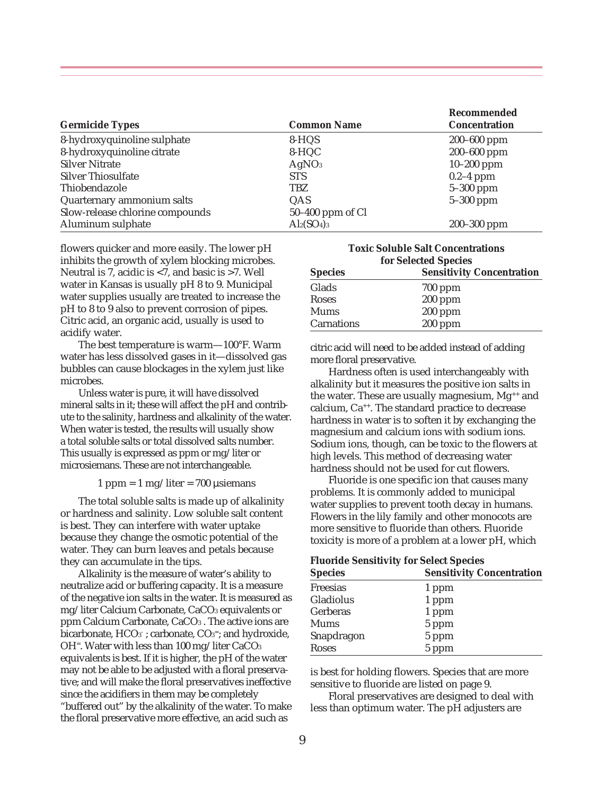|                                 |                    | Recommended          |  |
|---------------------------------|--------------------|----------------------|--|
| <b>Germicide Types</b>          | <b>Common Name</b> | <b>Concentration</b> |  |
| 8-hydroxyquinoline sulphate     | 8-HQS              | 200-600 ppm          |  |
| 8-hydroxyquinoline citrate      | 8-HQC              | 200-600 ppm          |  |
| <b>Silver Nitrate</b>           | AgNO <sub>3</sub>  | $10 - 200$ ppm       |  |
| <b>Silver Thiosulfate</b>       | <b>STS</b>         | $0.2-4$ ppm          |  |
| Thiobendazole                   | <b>TBZ</b>         | $5-300$ ppm          |  |
| Quarternary ammonium salts      | QAS                | $5-300$ ppm          |  |
| Slow-release chlorine compounds | $50-400$ ppm of Cl |                      |  |
| Aluminum sulphate               | $Al2(SO4)3$        | 200-300 ppm          |  |

flowers quicker and more easily. The lower pH inhibits the growth of xylem blocking microbes. Neutral is 7, acidic is <7, and basic is >7. Well water in Kansas is usually pH 8 to 9. Municipal water supplies usually are treated to increase the pH to 8 to 9 also to prevent corrosion of pipes. Citric acid, an organic acid, usually is used to acidify water.

The best temperature is warm—100°F. Warm water has less dissolved gases in it—dissolved gas bubbles can cause blockages in the xylem just like microbes.

Unless water is pure, it will have dissolved mineral salts in it; these will affect the pH and contribute to the salinity, hardness and alkalinity of the water. When water is tested, the results will usually show a total soluble salts or total dissolved salts number. This usually is expressed as ppm or mg/liter or microsiemans. These are not interchangeable.

#### $1$  ppm =  $1$  mg/liter = 700 µsiemans

The total soluble salts is made up of alkalinity or hardness and salinity. Low soluble salt content is best. They can interfere with water uptake because they change the osmotic potential of the water. They can burn leaves and petals because they can accumulate in the tips.

Alkalinity is the measure of water's ability to neutralize acid or buffering capacity. It is a measure of the negative ion salts in the water. It is measured as mg/liter Calcium Carbonate, CaCO3 equivalents or ppm Calcium Carbonate, CaCO3 . The active ions are bicarbonate, HCO3 ; carbonate, CO3<sup>=</sup>; and hydroxide, OH<sup> $=$ </sup>. Water with less than 100 mg/liter CaCO<sub>3</sub> equivalents is best. If it is higher, the pH of the water may not be able to be adjusted with a floral preservative; and will make the floral preservatives ineffective since the acidifiers in them may be completely "buffered out" by the alkalinity of the water. To make the floral preservative more effective, an acid such as

**Toxic Soluble Salt Concentrations for Selected Species Species Sensitivity Concentration**

| opecies    | <b>Densitivity Concentration</b> |
|------------|----------------------------------|
| Glads      | $700$ ppm                        |
| Roses      | $200$ ppm                        |
| Mums       | $200$ ppm                        |
| Carnations | $200$ ppm                        |

citric acid will need to be added instead of adding more floral preservative.

Hardness often is used interchangeably with alkalinity but it measures the positive ion salts in the water. These are usually magnesium, Mg<sup>++</sup> and calcium, Ca++. The standard practice to decrease hardness in water is to soften it by exchanging the magnesium and calcium ions with sodium ions. Sodium ions, though, can be toxic to the flowers at high levels. This method of decreasing water hardness should not be used for cut flowers.

Fluoride is one specific ion that causes many problems. It is commonly added to municipal water supplies to prevent tooth decay in humans. Flowers in the lily family and other monocots are more sensitive to fluoride than others. Fluoride toxicity is more of a problem at a lower pH, which

#### **Fluoride Sensitivity for Select Species**

| <b>Species</b> | <b>Sensitivity Concentration</b> |  |
|----------------|----------------------------------|--|
| Freesias       | 1 ppm                            |  |
| Gladiolus      | 1 ppm                            |  |
| Gerberas       | 1 ppm                            |  |
| Mums           | 5 ppm                            |  |
| Snapdragon     | 5 ppm                            |  |
| <b>Roses</b>   | 5 ppm                            |  |

is best for holding flowers. Species that are more sensitive to fluoride are listed on page 9.

Floral preservatives are designed to deal with less than optimum water. The pH adjusters are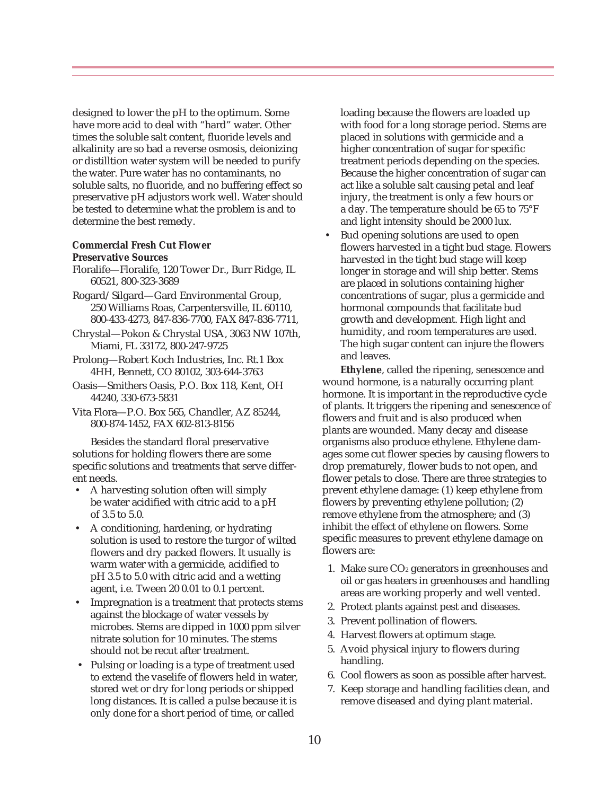designed to lower the pH to the optimum. Some have more acid to deal with "hard" water. Other times the soluble salt content, fluoride levels and alkalinity are so bad a reverse osmosis, deionizing or distilltion water system will be needed to purify the water. Pure water has no contaminants, no soluble salts, no fluoride, and no buffering effect so preservative pH adjustors work well. Water should be tested to determine what the problem is and to determine the best remedy.

#### **Commercial Fresh Cut Flower Preservative Sources**

- Floralife—Floralife, 120 Tower Dr., Burr Ridge, IL 60521, 800-323-3689
- Rogard/Silgard—Gard Environmental Group, 250 Williams Roas, Carpentersville, IL 60110, 800-433-4273, 847-836-7700, FAX 847-836-7711,
- Chrystal—Pokon & Chrystal USA, 3063 NW 107th, Miami, FL 33172, 800-247-9725
- Prolong—Robert Koch Industries, Inc. Rt.1 Box 4HH, Bennett, CO 80102, 303-644-3763
- Oasis—Smithers Oasis, P.O. Box 118, Kent, OH 44240, 330-673-5831
- Vita Flora—P.O. Box 565, Chandler, AZ 85244, 800-874-1452, FAX 602-813-8156

Besides the standard floral preservative solutions for holding flowers there are some specific solutions and treatments that serve different needs.

- A harvesting solution often will simply be water acidified with citric acid to a pH of 3.5 to 5.0.
- A conditioning, hardening, or hydrating solution is used to restore the turgor of wilted flowers and dry packed flowers. It usually is warm water with a germicide, acidified to pH 3.5 to 5.0 with citric acid and a wetting agent, i.e. Tween 20 0.01 to 0.1 percent.
- Impregnation is a treatment that protects stems against the blockage of water vessels by microbes. Stems are dipped in 1000 ppm silver nitrate solution for 10 minutes. The stems should not be recut after treatment.
- Pulsing or loading is a type of treatment used to extend the vaselife of flowers held in water, stored wet or dry for long periods or shipped long distances. It is called a pulse because it is only done for a short period of time, or called

loading because the flowers are loaded up with food for a long storage period. Stems are placed in solutions with germicide and a higher concentration of sugar for specific treatment periods depending on the species. Because the higher concentration of sugar can act like a soluble salt causing petal and leaf injury, the treatment is only a few hours or a day. The temperature should be 65 to 75°F and light intensity should be 2000 lux.

 • Bud opening solutions are used to open flowers harvested in a tight bud stage. Flowers harvested in the tight bud stage will keep longer in storage and will ship better. Stems are placed in solutions containing higher concentrations of sugar, plus a germicide and hormonal compounds that facilitate bud growth and development. High light and humidity, and room temperatures are used. The high sugar content can injure the flowers and leaves.

**Ethylene**, called the ripening, senescence and wound hormone, is a naturally occurring plant hormone. It is important in the reproductive cycle of plants. It triggers the ripening and senescence of flowers and fruit and is also produced when plants are wounded. Many decay and disease organisms also produce ethylene. Ethylene damages some cut flower species by causing flowers to drop prematurely, flower buds to not open, and flower petals to close. There are three strategies to prevent ethylene damage: (1) keep ethylene from flowers by preventing ethylene pollution; (2) remove ethylene from the atmosphere; and (3) inhibit the effect of ethylene on flowers. Some specific measures to prevent ethylene damage on flowers are:

- 1. Make sure  $CO<sub>2</sub>$  generators in greenhouses and oil or gas heaters in greenhouses and handling areas are working properly and well vented.
- 2. Protect plants against pest and diseases.
- 3. Prevent pollination of flowers.
- 4. Harvest flowers at optimum stage.
- 5. Avoid physical injury to flowers during handling.
- 6. Cool flowers as soon as possible after harvest.
- 7. Keep storage and handling facilities clean, and remove diseased and dying plant material.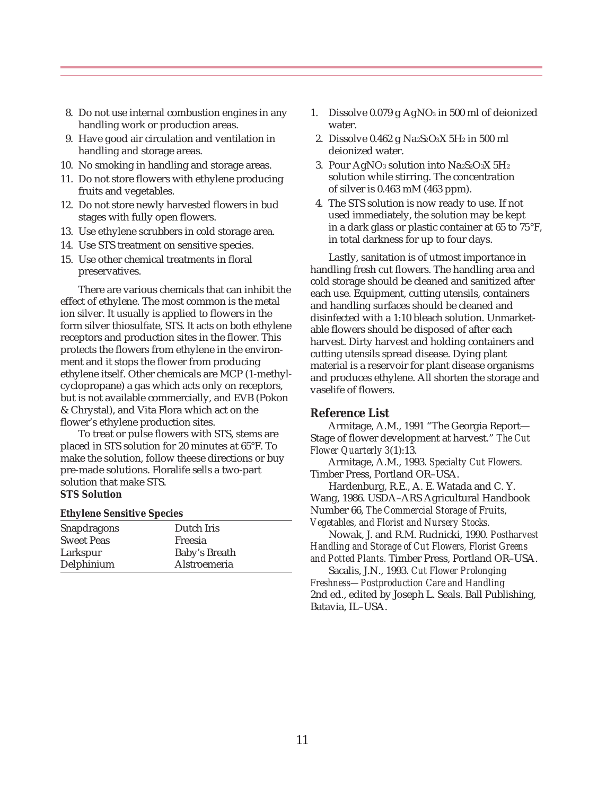- 8. Do not use internal combustion engines in any handling work or production areas.
- 9. Have good air circulation and ventilation in handling and storage areas.
- 10. No smoking in handling and storage areas.
- 11. Do not store flowers with ethylene producing fruits and vegetables.
- 12. Do not store newly harvested flowers in bud stages with fully open flowers.
- 13. Use ethylene scrubbers in cold storage area.
- 14. Use STS treatment on sensitive species.
- 15. Use other chemical treatments in floral preservatives.

There are various chemicals that can inhibit the effect of ethylene. The most common is the metal ion silver. It usually is applied to flowers in the form silver thiosulfate, STS. It acts on both ethylene receptors and production sites in the flower. This protects the flowers from ethylene in the environment and it stops the flower from producing ethylene itself. Other chemicals are MCP (1-methylcyclopropane) a gas which acts only on receptors, but is not available commercially, and EVB (Pokon & Chrystal), and Vita Flora which act on the flower's ethylene production sites.

To treat or pulse flowers with STS, stems are placed in STS solution for 20 minutes at 65°F. To make the solution, follow theese directions or buy pre-made solutions. Floralife sells a two-part solution that make STS. **STS Solution**

#### **Ethylene Sensitive Species**

| Snapdragons       | Dutch Iris    |  |
|-------------------|---------------|--|
| <b>Sweet Peas</b> | Freesia       |  |
| Larkspur          | Baby's Breath |  |
| Delphinium        | Alstroemeria  |  |

- 1. Dissolve  $0.079$  g AgNO<sub>3</sub> in 500 ml of deionized water.
- 2. Dissolve  $0.462$  g Na<sub>2</sub>S<sub>2</sub>O<sub>3</sub>X 5H<sub>2</sub> in 500 ml deionized water.
- 3. Pour AgNO<sub>3</sub> solution into Na<sub>2</sub>S<sub>2</sub>O<sub>3</sub>X 5H<sub>2</sub> solution while stirring. The concentration of silver is 0.463 mM (463 ppm).
- 4. The STS solution is now ready to use. If not used immediately, the solution may be kept in a dark glass or plastic container at 65 to 75°F, in total darkness for up to four days.

Lastly, sanitation is of utmost importance in handling fresh cut flowers. The handling area and cold storage should be cleaned and sanitized after each use. Equipment, cutting utensils, containers and handling surfaces should be cleaned and disinfected with a 1:10 bleach solution. Unmarketable flowers should be disposed of after each harvest. Dirty harvest and holding containers and cutting utensils spread disease. Dying plant material is a reservoir for plant disease organisms and produces ethylene. All shorten the storage and vaselife of flowers.

#### **Reference List**

Armitage, A.M., 1991 "The Georgia Report— Stage of flower development at harvest." *The Cut Flower Quarterly 3*(1):13.

Armitage, A.M., 1993. *Specialty Cut Flowers.* Timber Press, Portland OR–USA.

Hardenburg, R.E., A. E. Watada and C. Y. Wang, 1986. USDA–ARS Agricultural Handbook Number 66, *The Commercial Storage of Fruits, Vegetables, and Florist and Nursery Stocks.*

Nowak, J. and R.M. Rudnicki, 1990. *Postharvest Handling and Storage of Cut Flowers, Florist Greens and Potted Plants.* Timber Press, Portland OR–USA.

Sacalis, J.N., 1993. *Cut Flower Prolonging Freshness—Postproduction Care and Handling* 2nd ed., edited by Joseph L. Seals. Ball Publishing, Batavia, IL–USA.